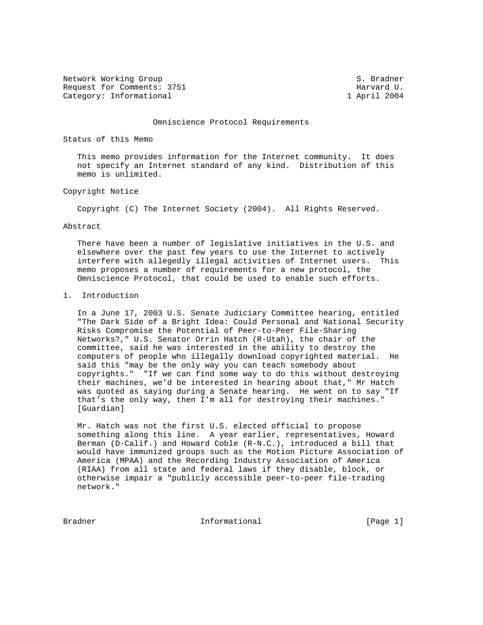Network Working Group S. Bradner Request for Comments: 3751 Harvard U. Category: Informational 1 April 2004

### Omniscience Protocol Requirements

Status of this Memo

 This memo provides information for the Internet community. It does not specify an Internet standard of any kind. Distribution of this memo is unlimited.

## Copyright Notice

Copyright (C) The Internet Society (2004). All Rights Reserved.

### Abstract

 There have been a number of legislative initiatives in the U.S. and elsewhere over the past few years to use the Internet to actively interfere with allegedly illegal activities of Internet users. This memo proposes a number of requirements for a new protocol, the Omniscience Protocol, that could be used to enable such efforts.

## 1. Introduction

 In a June 17, 2003 U.S. Senate Judiciary Committee hearing, entitled "The Dark Side of a Bright Idea: Could Personal and National Security Risks Compromise the Potential of Peer-to-Peer File-Sharing Networks?," U.S. Senator Orrin Hatch (R-Utah), the chair of the committee, said he was interested in the ability to destroy the computers of people who illegally download copyrighted material. He said this "may be the only way you can teach somebody about copyrights." "If we can find some way to do this without destroying their machines, we'd be interested in hearing about that," Mr Hatch was quoted as saying during a Senate hearing. He went on to say "If that's the only way, then I'm all for destroying their machines." [Guardian]

 Mr. Hatch was not the first U.S. elected official to propose something along this line. A year earlier, representatives, Howard Berman (D-Calif.) and Howard Coble (R-N.C.), introduced a bill that would have immunized groups such as the Motion Picture Association of America (MPAA) and the Recording Industry Association of America (RIAA) from all state and federal laws if they disable, block, or otherwise impair a "publicly accessible peer-to-peer file-trading network."

Bradner 1. Informational 1. Informational [Page 1]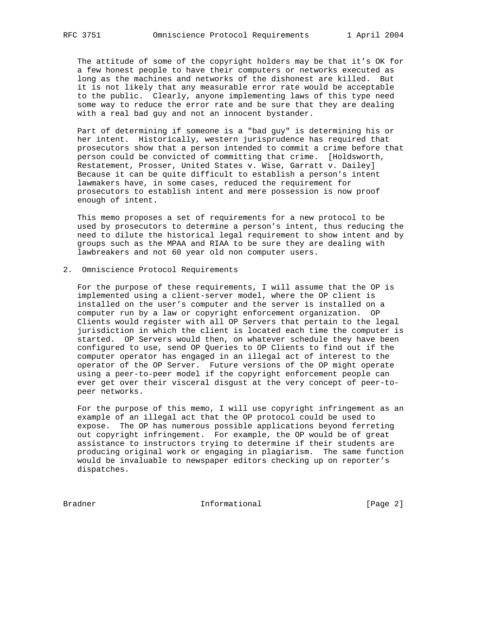The attitude of some of the copyright holders may be that it's OK for a few honest people to have their computers or networks executed as long as the machines and networks of the dishonest are killed. But it is not likely that any measurable error rate would be acceptable to the public. Clearly, anyone implementing laws of this type need some way to reduce the error rate and be sure that they are dealing with a real bad guy and not an innocent bystander.

 Part of determining if someone is a "bad guy" is determining his or her intent. Historically, western jurisprudence has required that prosecutors show that a person intended to commit a crime before that person could be convicted of committing that crime. [Holdsworth, Restatement, Prosser, United States v. Wise, Garratt v. Dailey] Because it can be quite difficult to establish a person's intent lawmakers have, in some cases, reduced the requirement for prosecutors to establish intent and mere possession is now proof enough of intent.

 This memo proposes a set of requirements for a new protocol to be used by prosecutors to determine a person's intent, thus reducing the need to dilute the historical legal requirement to show intent and by groups such as the MPAA and RIAA to be sure they are dealing with lawbreakers and not 60 year old non computer users.

### 2. Omniscience Protocol Requirements

 For the purpose of these requirements, I will assume that the OP is implemented using a client-server model, where the OP client is installed on the user's computer and the server is installed on a computer run by a law or copyright enforcement organization. OP Clients would register with all OP Servers that pertain to the legal jurisdiction in which the client is located each time the computer is started. OP Servers would then, on whatever schedule they have been configured to use, send OP Queries to OP Clients to find out if the computer operator has engaged in an illegal act of interest to the operator of the OP Server. Future versions of the OP might operate using a peer-to-peer model if the copyright enforcement people can ever get over their visceral disgust at the very concept of peer-to peer networks.

 For the purpose of this memo, I will use copyright infringement as an example of an illegal act that the OP protocol could be used to expose. The OP has numerous possible applications beyond ferreting out copyright infringement. For example, the OP would be of great assistance to instructors trying to determine if their students are producing original work or engaging in plagiarism. The same function would be invaluable to newspaper editors checking up on reporter's dispatches.

Bradner 10 Informational 100 Page 2]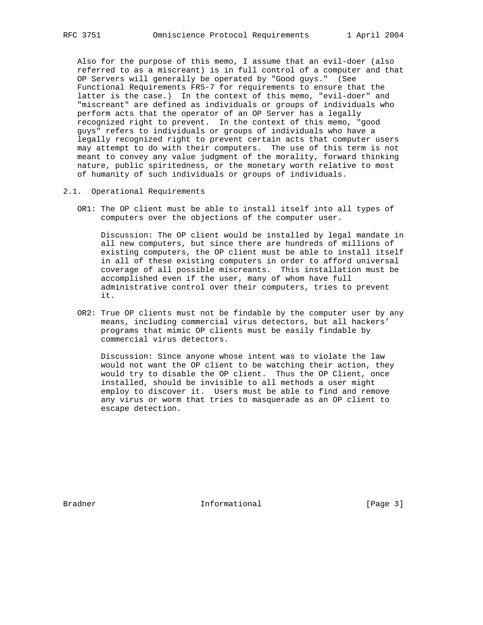Also for the purpose of this memo, I assume that an evil-doer (also referred to as a miscreant) is in full control of a computer and that OP Servers will generally be operated by "Good guys." (See Functional Requirements FR5-7 for requirements to ensure that the latter is the case.) In the context of this memo, "evil-doer" and "miscreant" are defined as individuals or groups of individuals who perform acts that the operator of an OP Server has a legally recognized right to prevent. In the context of this memo, "good guys" refers to individuals or groups of individuals who have a legally recognized right to prevent certain acts that computer users may attempt to do with their computers. The use of this term is not meant to convey any value judgment of the morality, forward thinking nature, public spiritedness, or the monetary worth relative to most of humanity of such individuals or groups of individuals.

2.1. Operational Requirements

 OR1: The OP client must be able to install itself into all types of computers over the objections of the computer user.

 Discussion: The OP client would be installed by legal mandate in all new computers, but since there are hundreds of millions of existing computers, the OP client must be able to install itself in all of these existing computers in order to afford universal coverage of all possible miscreants. This installation must be accomplished even if the user, many of whom have full administrative control over their computers, tries to prevent it.

 OR2: True OP clients must not be findable by the computer user by any means, including commercial virus detectors, but all hackers' programs that mimic OP clients must be easily findable by commercial virus detectors.

 Discussion: Since anyone whose intent was to violate the law would not want the OP client to be watching their action, they would try to disable the OP client. Thus the OP Client, once installed, should be invisible to all methods a user might employ to discover it. Users must be able to find and remove any virus or worm that tries to masquerade as an OP client to escape detection.

Bradner 11 Informational 1996 [Page 3]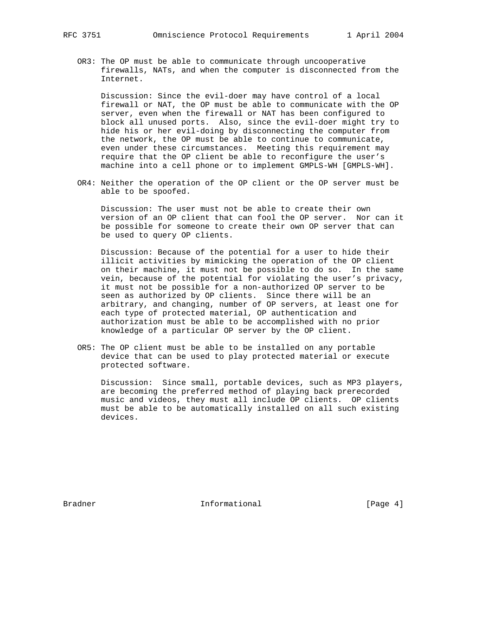OR3: The OP must be able to communicate through uncooperative firewalls, NATs, and when the computer is disconnected from the Internet.

 Discussion: Since the evil-doer may have control of a local firewall or NAT, the OP must be able to communicate with the OP server, even when the firewall or NAT has been configured to block all unused ports. Also, since the evil-doer might try to hide his or her evil-doing by disconnecting the computer from the network, the OP must be able to continue to communicate, even under these circumstances. Meeting this requirement may require that the OP client be able to reconfigure the user's machine into a cell phone or to implement GMPLS-WH [GMPLS-WH].

 OR4: Neither the operation of the OP client or the OP server must be able to be spoofed.

 Discussion: The user must not be able to create their own version of an OP client that can fool the OP server. Nor can it be possible for someone to create their own OP server that can be used to query OP clients.

 Discussion: Because of the potential for a user to hide their illicit activities by mimicking the operation of the OP client on their machine, it must not be possible to do so. In the same vein, because of the potential for violating the user's privacy, it must not be possible for a non-authorized OP server to be seen as authorized by OP clients. Since there will be an arbitrary, and changing, number of OP servers, at least one for each type of protected material, OP authentication and authorization must be able to be accomplished with no prior knowledge of a particular OP server by the OP client.

 OR5: The OP client must be able to be installed on any portable device that can be used to play protected material or execute protected software.

 Discussion: Since small, portable devices, such as MP3 players, are becoming the preferred method of playing back prerecorded music and videos, they must all include OP clients. OP clients must be able to be automatically installed on all such existing devices.

Bradner 11 Informational 1996 [Page 4]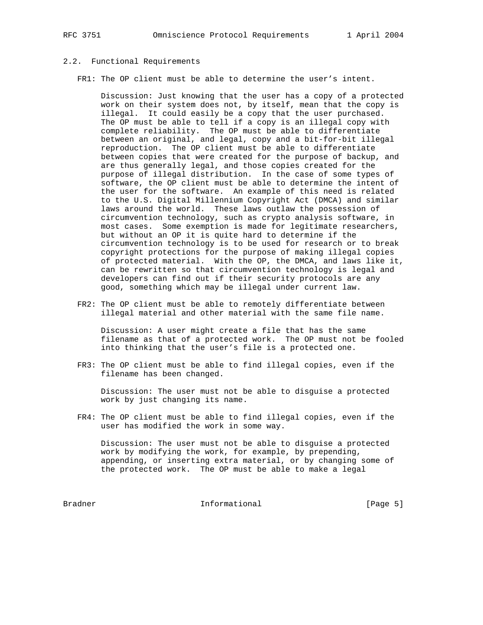# 2.2. Functional Requirements

FR1: The OP client must be able to determine the user's intent.

 Discussion: Just knowing that the user has a copy of a protected work on their system does not, by itself, mean that the copy is illegal. It could easily be a copy that the user purchased. The OP must be able to tell if a copy is an illegal copy with complete reliability. The OP must be able to differentiate between an original, and legal, copy and a bit-for-bit illegal reproduction. The OP client must be able to differentiate between copies that were created for the purpose of backup, and are thus generally legal, and those copies created for the purpose of illegal distribution. In the case of some types of software, the OP client must be able to determine the intent of the user for the software. An example of this need is related to the U.S. Digital Millennium Copyright Act (DMCA) and similar laws around the world. These laws outlaw the possession of circumvention technology, such as crypto analysis software, in most cases. Some exemption is made for legitimate researchers, but without an OP it is quite hard to determine if the circumvention technology is to be used for research or to break copyright protections for the purpose of making illegal copies of protected material. With the OP, the DMCA, and laws like it, can be rewritten so that circumvention technology is legal and developers can find out if their security protocols are any good, something which may be illegal under current law.

 FR2: The OP client must be able to remotely differentiate between illegal material and other material with the same file name.

 Discussion: A user might create a file that has the same filename as that of a protected work. The OP must not be fooled into thinking that the user's file is a protected one.

 FR3: The OP client must be able to find illegal copies, even if the filename has been changed.

 Discussion: The user must not be able to disguise a protected work by just changing its name.

 FR4: The OP client must be able to find illegal copies, even if the user has modified the work in some way.

 Discussion: The user must not be able to disguise a protected work by modifying the work, for example, by prepending, appending, or inserting extra material, or by changing some of the protected work. The OP must be able to make a legal

Bradner 10 Informational 100 Page 5]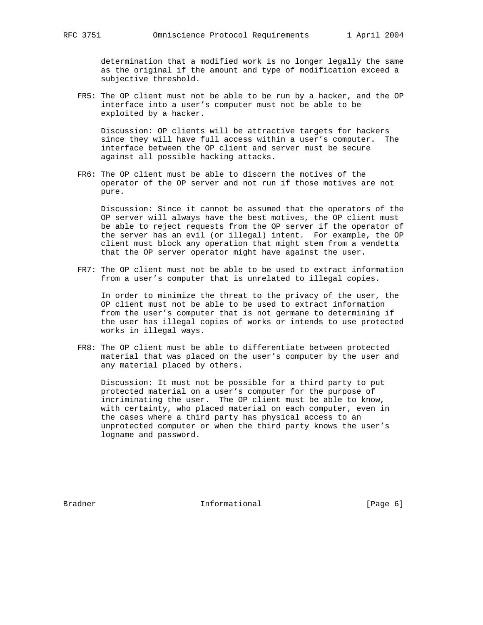determination that a modified work is no longer legally the same as the original if the amount and type of modification exceed a subjective threshold.

 FR5: The OP client must not be able to be run by a hacker, and the OP interface into a user's computer must not be able to be exploited by a hacker.

 Discussion: OP clients will be attractive targets for hackers since they will have full access within a user's computer. The interface between the OP client and server must be secure against all possible hacking attacks.

 FR6: The OP client must be able to discern the motives of the operator of the OP server and not run if those motives are not pure.

 Discussion: Since it cannot be assumed that the operators of the OP server will always have the best motives, the OP client must be able to reject requests from the OP server if the operator of the server has an evil (or illegal) intent. For example, the OP client must block any operation that might stem from a vendetta that the OP server operator might have against the user.

 FR7: The OP client must not be able to be used to extract information from a user's computer that is unrelated to illegal copies.

 In order to minimize the threat to the privacy of the user, the OP client must not be able to be used to extract information from the user's computer that is not germane to determining if the user has illegal copies of works or intends to use protected works in illegal ways.

 FR8: The OP client must be able to differentiate between protected material that was placed on the user's computer by the user and any material placed by others.

 Discussion: It must not be possible for a third party to put protected material on a user's computer for the purpose of incriminating the user. The OP client must be able to know, with certainty, who placed material on each computer, even in the cases where a third party has physical access to an unprotected computer or when the third party knows the user's logname and password.

Bradner 11 The Informational The Informational [Page 6]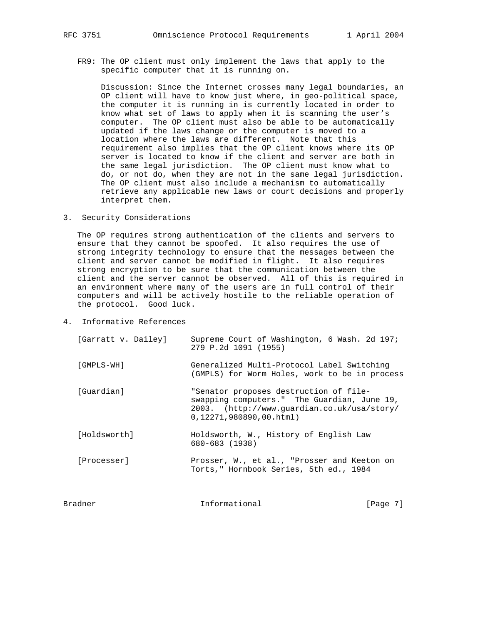FR9: The OP client must only implement the laws that apply to the specific computer that it is running on.

 Discussion: Since the Internet crosses many legal boundaries, an OP client will have to know just where, in geo-political space, the computer it is running in is currently located in order to know what set of laws to apply when it is scanning the user's computer. The OP client must also be able to be automatically updated if the laws change or the computer is moved to a location where the laws are different. Note that this requirement also implies that the OP client knows where its OP server is located to know if the client and server are both in the same legal jurisdiction. The OP client must know what to do, or not do, when they are not in the same legal jurisdiction. The OP client must also include a mechanism to automatically retrieve any applicable new laws or court decisions and properly interpret them.

3. Security Considerations

 The OP requires strong authentication of the clients and servers to ensure that they cannot be spoofed. It also requires the use of strong integrity technology to ensure that the messages between the client and server cannot be modified in flight. It also requires strong encryption to be sure that the communication between the client and the server cannot be observed. All of this is required in an environment where many of the users are in full control of their computers and will be actively hostile to the reliable operation of the protocol. Good luck.

4. Informative References

| [Garratt v. Dailey] | Supreme Court of Washington, 6 Wash. 2d 197;<br>279 P.2d 1091 (1955)                                                                                           |          |
|---------------------|----------------------------------------------------------------------------------------------------------------------------------------------------------------|----------|
| [GMPLS-WH]          | Generalized Multi-Protocol Label Switching<br>(GMPLS) for Worm Holes, work to be in process                                                                    |          |
| [Guardian]          | "Senator proposes destruction of file-<br>swapping computers." The Guardian, June 19,<br>2003. (http://www.quardian.co.uk/usa/story/<br>0,12271,980890,00.html |          |
| [Holdsworth]        | Holdsworth, W., History of English Law<br>680-683 (1938)                                                                                                       |          |
| [Processer]         | Prosser, W., et al., "Prosser and Keeton on<br>Torts," Hornbook Series, 5th ed., 1984                                                                          |          |
| Bradner             | Informational                                                                                                                                                  | [Page 7] |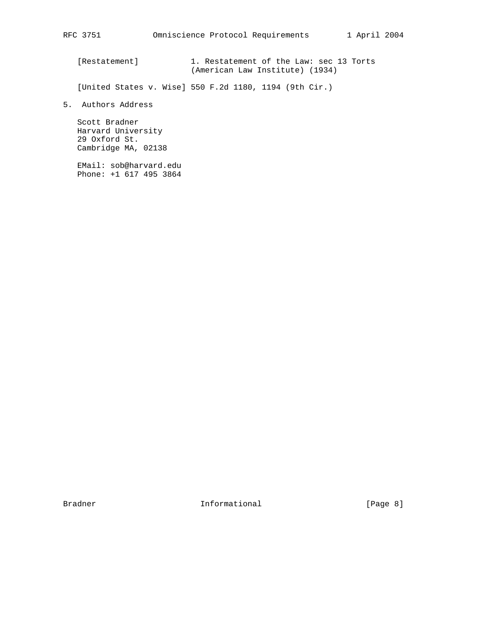[Restatement] 1. Restatement of the Law: sec 13 Torts (American Law Institute) (1934)

[United States v. Wise] 550 F.2d 1180, 1194 (9th Cir.)

5. Authors Address

 Scott Bradner Harvard University 29 Oxford St. Cambridge MA, 02138

 EMail: sob@harvard.edu Phone: +1 617 495 3864

Bradner Informational [Page 8]